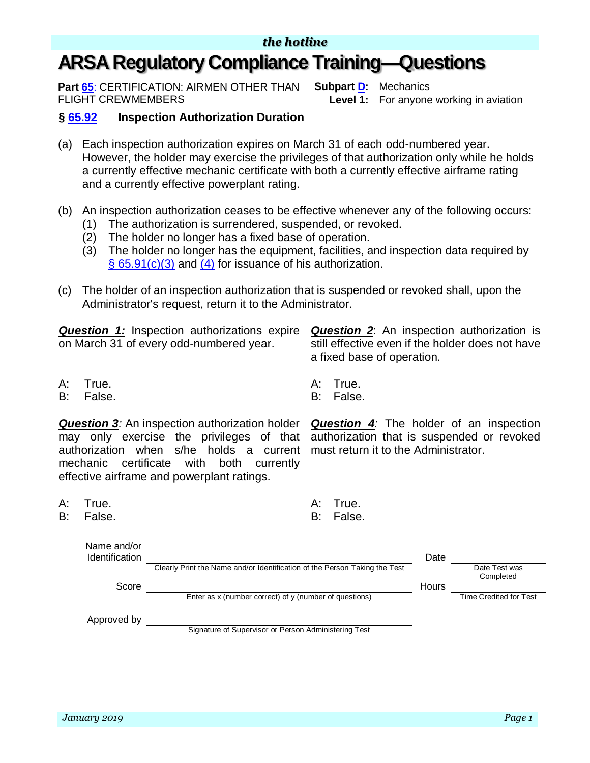## **ARSA Regulatory Compliance Training—Questions**

**Part [65](https://www.ecfr.gov/cgi-bin/text-idx?SID=562186096ee8fe3ddae255859d97fdb2&mc=true&node=pt14.2.65&rgn=div5)**: CERTIFICATION: AIRMEN OTHER THAN FLIGHT CREWMEMBERS

**Subpart [D:](https://www.ecfr.gov/cgi-bin/retrieveECFR?gp=&SID=79618046221ff0e96a0c258d5d76c903&mc=true&n=sp14.2.65.d&r=SUBPART&ty=HTML)** Mechanics **Level 1:** For anyone working in aviation

## **§ [65.92](https://www.ecfr.gov/cgi-bin/retrieveECFR?gp=&SID=21bf77e198c4e9a46c044360e7ac481f&mc=true&r=SECTION&n=se14.2.65_192) Inspection Authorization Duration**

- (a) Each inspection authorization expires on March 31 of each odd-numbered year. However, the holder may exercise the privileges of that authorization only while he holds a currently effective mechanic certificate with both a currently effective airframe rating and a currently effective powerplant rating.
- (b) An inspection authorization ceases to be effective whenever any of the following occurs:
	- (1) The authorization is surrendered, suspended, or revoked.
	- (2) The holder no longer has a fixed base of operation.
	- (3) The holder no longer has the equipment, facilities, and inspection data required by  $\S$  [65.91\(c\)\(3\)](https://www.ecfr.gov/cgi-bin/retrieveECFR?gp=&SID=21bf77e198c4e9a46c044360e7ac481f&mc=true&r=SECTION&n=se14.2.65_191) and (4) for issuance of his authorization.
- (c) The holder of an inspection authorization that is suspended or revoked shall, upon the Administrator's request, return it to the Administrator.

*Question 1:* Inspection authorizations expire on March 31 of every odd-numbered year.

A: True. A: True.

B: False. B: False.

*Question 3:* An inspection authorization holder may only exercise the privileges of that authorization when s/he holds a current must return it to the Administrator. mechanic certificate with both currently effective airframe and powerplant ratings.

- A: True. A: True.
- B: False. B: False.

Name and/or

a fixed base of operation.

*Question 4:* The holder of an inspection authorization that is suspended or revoked

**Question 2:** An inspection authorization is still effective even if the holder does not have

| $N$ anic anu/U<br><b>Identification</b> |                                                                            | Date  |                            |
|-----------------------------------------|----------------------------------------------------------------------------|-------|----------------------------|
|                                         | Clearly Print the Name and/or Identification of the Person Taking the Test |       | Date Test was<br>Completed |
| Score                                   |                                                                            | Hours |                            |
|                                         | Enter as $x$ (number correct) of $y$ (number of questions)                 |       | Time Credited for Test     |
| Approved by                             |                                                                            |       |                            |
|                                         | Signature of Supervisor or Person Administering Test                       |       |                            |